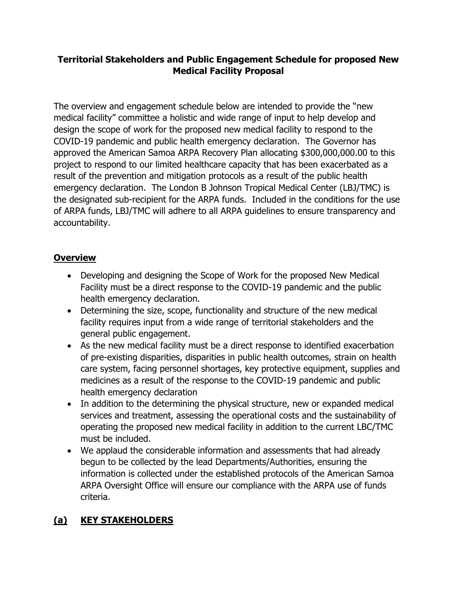### **Territorial Stakeholders and Public Engagement Schedule for proposed New Medical Facility Proposal**

The overview and engagement schedule below are intended to provide the "new medical facility" committee a holistic and wide range of input to help develop and design the scope of work for the proposed new medical facility to respond to the COVID-19 pandemic and public health emergency declaration. The Governor has approved the American Samoa ARPA Recovery Plan allocating \$300,000,000.00 to this project to respond to our limited healthcare capacity that has been exacerbated as a result of the prevention and mitigation protocols as a result of the public health emergency declaration. The London B Johnson Tropical Medical Center (LBJ/TMC) is the designated sub-recipient for the ARPA funds. Included in the conditions for the use of ARPA funds, LBJ/TMC will adhere to all ARPA guidelines to ensure transparency and accountability.

### **Overview**

- Developing and designing the Scope of Work for the proposed New Medical Facility must be a direct response to the COVID-19 pandemic and the public health emergency declaration.
- Determining the size, scope, functionality and structure of the new medical facility requires input from a wide range of territorial stakeholders and the general public engagement.
- As the new medical facility must be a direct response to identified exacerbation of pre-existing disparities, disparities in public health outcomes, strain on health care system, facing personnel shortages, key protective equipment, supplies and medicines as a result of the response to the COVID-19 pandemic and public health emergency declaration
- In addition to the determining the physical structure, new or expanded medical services and treatment, assessing the operational costs and the sustainability of operating the proposed new medical facility in addition to the current LBC/TMC must be included.
- We applaud the considerable information and assessments that had already begun to be collected by the lead Departments/Authorities, ensuring the information is collected under the established protocols of the American Samoa ARPA Oversight Office will ensure our compliance with the ARPA use of funds criteria.

# **(a) KEY STAKEHOLDERS**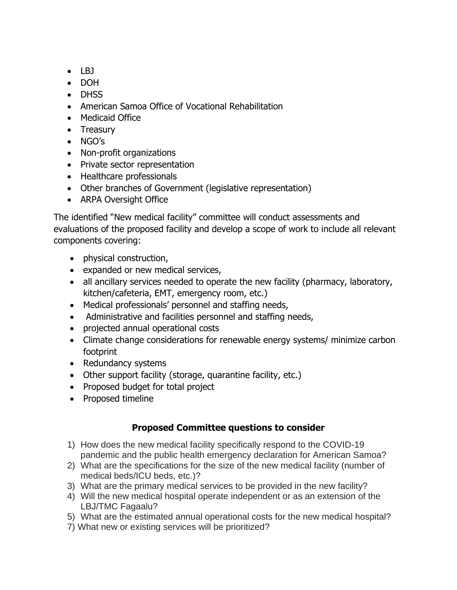- $\bullet$  LBJ
- DOH
- DHSS
- American Samoa Office of Vocational Rehabilitation
- Medicaid Office
- Treasury
- NGO's
- Non-profit organizations
- Private sector representation
- Healthcare professionals
- Other branches of Government (legislative representation)
- ARPA Oversight Office

The identified "New medical facility" committee will conduct assessments and evaluations of the proposed facility and develop a scope of work to include all relevant components covering:

- physical construction,
- expanded or new medical services,
- all ancillary services needed to operate the new facility (pharmacy, laboratory, kitchen/cafeteria, EMT, emergency room, etc.)
- Medical professionals' personnel and staffing needs,
- Administrative and facilities personnel and staffing needs,
- projected annual operational costs
- Climate change considerations for renewable energy systems/ minimize carbon footprint
- Redundancy systems
- Other support facility (storage, quarantine facility, etc.)
- Proposed budget for total project
- Proposed timeline

#### **Proposed Committee questions to consider**

- 1) How does the new medical facility specifically respond to the COVID-19 pandemic and the public health emergency declaration for American Samoa?
- 2) What are the specifications for the size of the new medical facility (number of medical beds/ICU beds, etc.)?
- 3) What are the primary medical services to be provided in the new facility?
- 4) Will the new medical hospital operate independent or as an extension of the LBJ/TMC Fagaalu?
- 5) What are the estimated annual operational costs for the new medical hospital?
- 7) What new or existing services will be prioritized?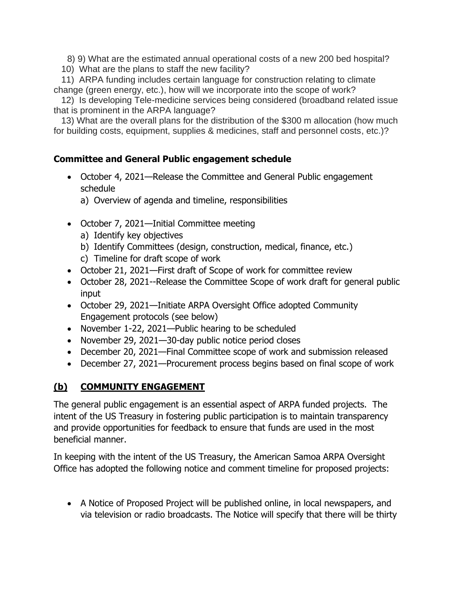8) 9) What are the estimated annual operational costs of a new 200 bed hospital?

10) What are the plans to staff the new facility?

 11) ARPA funding includes certain language for construction relating to climate change (green energy, etc.), how will we incorporate into the scope of work?

 12) Is developing Tele-medicine services being considered (broadband related issue that is prominent in the ARPA language?

 13) What are the overall plans for the distribution of the \$300 m allocation (how much for building costs, equipment, supplies & medicines, staff and personnel costs, etc.)?

#### **Committee and General Public engagement schedule**

- October 4, 2021—Release the Committee and General Public engagement schedule
	- a) Overview of agenda and timeline, responsibilities
- October 7, 2021—Initial Committee meeting
	- a) Identify key objectives
	- b) Identify Committees (design, construction, medical, finance, etc.)
	- c) Timeline for draft scope of work
- October 21, 2021—First draft of Scope of work for committee review
- October 28, 2021--Release the Committee Scope of work draft for general public input
- October 29, 2021—Initiate ARPA Oversight Office adopted Community Engagement protocols (see below)
- November 1-22, 2021—Public hearing to be scheduled
- November 29, 2021—30-day public notice period closes
- December 20, 2021—Final Committee scope of work and submission released
- December 27, 2021—Procurement process begins based on final scope of work

# **(b) COMMUNITY ENGAGEMENT**

The general public engagement is an essential aspect of ARPA funded projects. The intent of the US Treasury in fostering public participation is to maintain transparency and provide opportunities for feedback to ensure that funds are used in the most beneficial manner.

In keeping with the intent of the US Treasury, the American Samoa ARPA Oversight Office has adopted the following notice and comment timeline for proposed projects:

• A Notice of Proposed Project will be published online, in local newspapers, and via television or radio broadcasts. The Notice will specify that there will be thirty